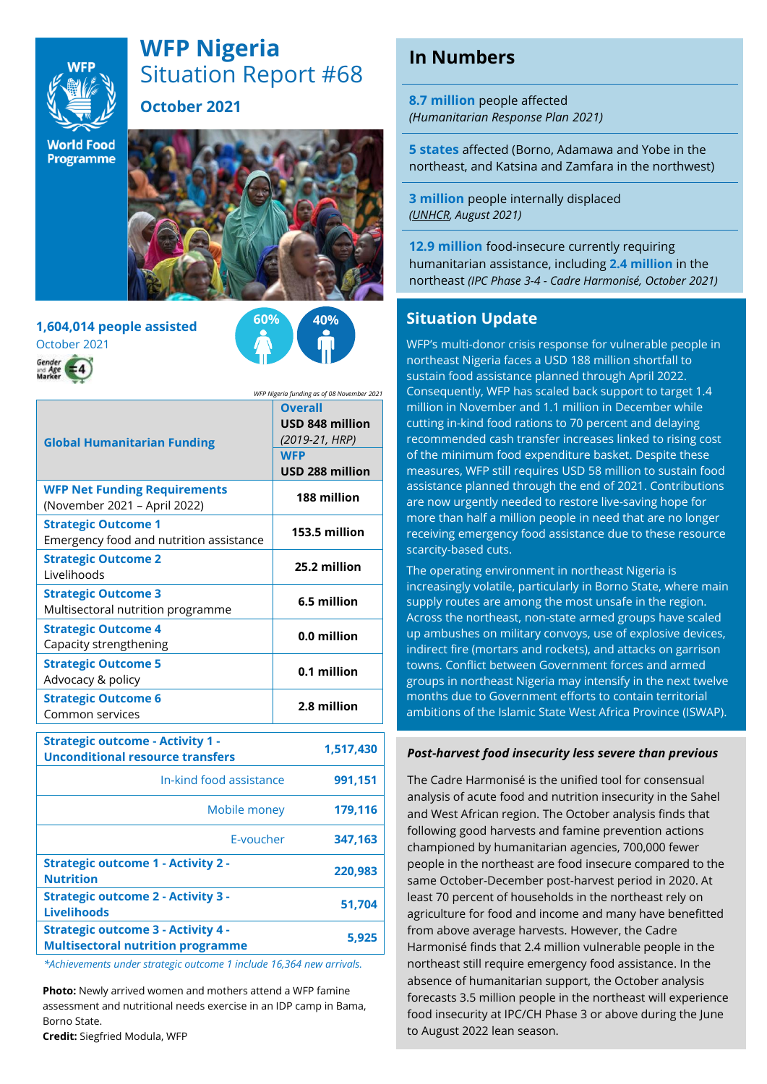

# **WFP Nigeria** Situation Report #68

**October 2021**

**World Food** Programme



**1,604,014 people assisted** October 2021



*WFP Nigeria funding as of 08 November 2021*

| <b>Global Humanitarian Funding</b>                                    | <b>Overall</b><br>USD 848 million<br>(2019-21, HRP)<br><b>WFP</b><br>USD 288 million |
|-----------------------------------------------------------------------|--------------------------------------------------------------------------------------|
| <b>WFP Net Funding Requirements</b><br>(November 2021 – April 2022)   | 188 million                                                                          |
| <b>Strategic Outcome 1</b><br>Emergency food and nutrition assistance | 153.5 million                                                                        |
| <b>Strategic Outcome 2</b><br>Livelihoods                             | 25.2 million                                                                         |
| <b>Strategic Outcome 3</b><br>Multisectoral nutrition programme       | 6.5 million                                                                          |
| <b>Strategic Outcome 4</b><br>Capacity strengthening                  | 0.0 million                                                                          |
| <b>Strategic Outcome 5</b><br>Advocacy & policy                       | 0.1 million                                                                          |
| <b>Strategic Outcome 6</b><br>Common services                         | 2.8 million                                                                          |

| <b>Strategic outcome - Activity 1 -</b><br><b>Unconditional resource transfers</b>    | 1,517,430 |
|---------------------------------------------------------------------------------------|-----------|
| In-kind food assistance                                                               | 991,151   |
| Mobile money                                                                          | 179,116   |
| F-voucher                                                                             | 347,163   |
| <b>Strategic outcome 1 - Activity 2 -</b><br><b>Nutrition</b>                         | 220.983   |
| <b>Strategic outcome 2 - Activity 3 -</b><br><b>Livelihoods</b>                       | 51.704    |
| <b>Strategic outcome 3 - Activity 4 -</b><br><b>Multisectoral nutrition programme</b> | 5.925     |
|                                                                                       |           |

*\*Achievements under strategic outcome 1 include 16,364 new arrivals.* 

**Photo:** Newly arrived women and mothers attend a WFP famine assessment and nutritional needs exercise in an IDP camp in Bama, Borno State.

**Credit:** Siegfried Modula, WFP

# **In Numbers**

**8.7 million** people affected *(Humanitarian Response Plan 2021)*

**5 states** affected (Borno, Adamawa and Yobe in the northeast, and Katsina and Zamfara in the northwest)

**3 million** people internally displaced *[\(UNHCR,](https://data2.unhcr.org/en/country/nga) August 2021)*

**12.9 million** food-insecure currently requiring humanitarian assistance, including **2.4 million** in the northeast *(IPC Phase 3-4 - Cadre Harmonisé, October 2021)*

#### **Situation Update**

WFP's multi-donor crisis response for vulnerable people in northeast Nigeria faces a USD 188 million shortfall to sustain food assistance planned through April 2022. Consequently, WFP has scaled back support to target 1.4 million in November and 1.1 million in December while cutting in-kind food rations to 70 percent and delaying recommended cash transfer increases linked to rising cost of the minimum food expenditure basket. Despite these measures, WFP still requires USD 58 million to sustain food assistance planned through the end of 2021. Contributions are now urgently needed to restore live-saving hope for more than half a million people in need that are no longer receiving emergency food assistance due to these resource scarcity-based cuts.

The operating environment in northeast Nigeria is increasingly volatile, particularly in Borno State, where main supply routes are among the most unsafe in the region. Across the northeast, non-state armed groups have scaled up ambushes on military convoys, use of explosive devices, indirect fire (mortars and rockets), and attacks on garrison towns. Conflict between Government forces and armed groups in northeast Nigeria may intensify in the next twelve months due to Government efforts to contain territorial ambitions of the Islamic State West Africa Province (ISWAP).

#### *Post-harvest food insecurity less severe than previous*

The Cadre Harmonisé is the unified tool for consensual analysis of acute food and nutrition insecurity in the Sahel and West African region. The October analysis finds that following good harvests and famine prevention actions championed by humanitarian agencies, 700,000 fewer people in the northeast are food insecure compared to the same October-December post-harvest period in 2020. At least 70 percent of households in the northeast rely on agriculture for food and income and many have benefitted from above average harvests. However, the Cadre Harmonisé finds that 2.4 million vulnerable people in the northeast still require emergency food assistance. In the absence of humanitarian support, the October analysis forecasts 3.5 million people in the northeast will experience food insecurity at IPC/CH Phase 3 or above during the June to August 2022 lean season.